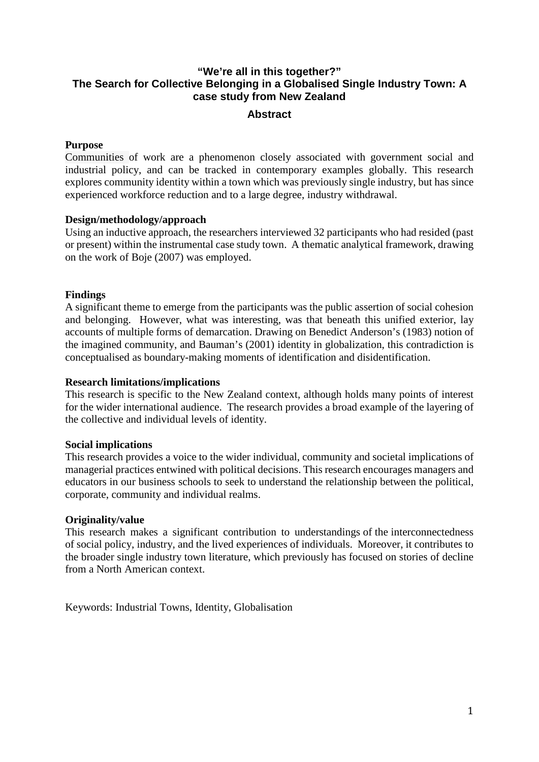# **"We're all in this together?" The Search for Collective Belonging in a Globalised Single Industry Town: A case study from New Zealand**

## **Abstract**

## **Purpose**

Communities of work are a phenomenon closely associated with government social and industrial policy, and can be tracked in contemporary examples globally. This research explores community identity within a town which was previously single industry, but has since experienced workforce reduction and to a large degree, industry withdrawal.

## **Design/methodology/approach**

Using an inductive approach, the researchers interviewed 32 participants who had resided (past or present) within the instrumental case study town. A thematic analytical framework, drawing on the work of Boje (2007) was employed.

## **Findings**

A significant theme to emerge from the participants was the public assertion of social cohesion and belonging. However, what was interesting, was that beneath this unified exterior, lay accounts of multiple forms of demarcation. Drawing on Benedict Anderson's (1983) notion of the imagined community, and Bauman's (2001) identity in globalization, this contradiction is conceptualised as boundary-making moments of identification and disidentification.

### **Research limitations/implications**

This research is specific to the New Zealand context, although holds many points of interest for the wider international audience. The research provides a broad example of the layering of the collective and individual levels of identity.

### **Social implications**

This research provides a voice to the wider individual, community and societal implications of managerial practices entwined with political decisions. This research encourages managers and educators in our business schools to seek to understand the relationship between the political, corporate, community and individual realms.

### **Originality/value**

This research makes a significant contribution to understandings of the interconnectedness of social policy, industry, and the lived experiences of individuals. Moreover, it contributes to the broader single industry town literature, which previously has focused on stories of decline from a North American context.

Keywords: Industrial Towns, Identity, Globalisation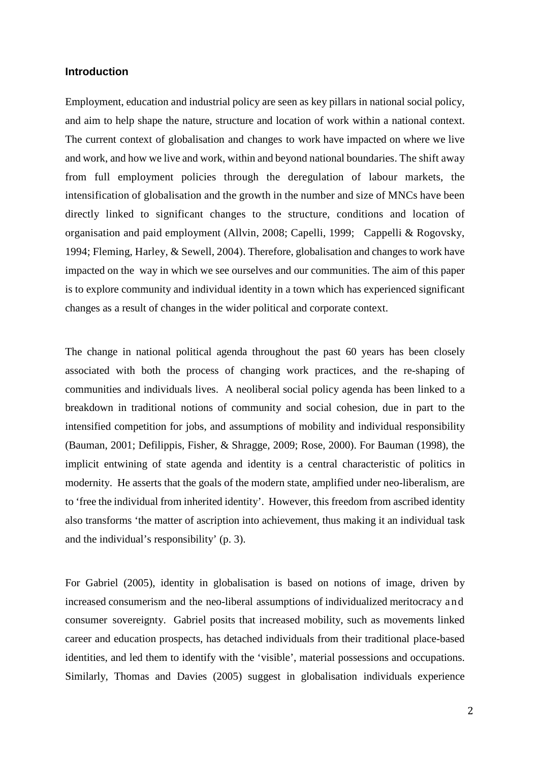#### **Introduction**

Employment, education and industrial policy are seen as key pillars in national social policy, and aim to help shape the nature, structure and location of work within a national context. The current context of globalisation and changes to work have impacted on where we live and work, and how we live and work, within and beyond national boundaries. The shift away from full employment policies through the deregulation of labour markets, the intensification of globalisation and the growth in the number and size of MNCs have been directly linked to significant changes to the structure, conditions and location of organisation and paid employment (Allvin, 2008; Capelli, 1999; Cappelli & Rogovsky, 1994; Fleming, Harley, & Sewell, 2004). Therefore, globalisation and changes to work have impacted on the way in which we see ourselves and our communities. The aim of this paper is to explore community and individual identity in a town which has experienced significant changes as a result of changes in the wider political and corporate context.

The change in national political agenda throughout the past 60 years has been closely associated with both the process of changing work practices, and the re-shaping of communities and individuals lives. A neoliberal social policy agenda has been linked to a breakdown in traditional notions of community and social cohesion, due in part to the intensified competition for jobs, and assumptions of mobility and individual responsibility (Bauman, 2001; Defilippis, Fisher, & Shragge, 2009; Rose, 2000). For Bauman (1998), the implicit entwining of state agenda and identity is a central characteristic of politics in modernity. He asserts that the goals of the modern state, amplified under neo-liberalism, are to 'free the individual from inherited identity'. However, this freedom from ascribed identity also transforms 'the matter of ascription into achievement, thus making it an individual task and the individual's responsibility' (p. 3).

For Gabriel (2005), identity in globalisation is based on notions of image, driven by increased consumerism and the neo-liberal assumptions of individualized meritocracy and consumer sovereignty. Gabriel posits that increased mobility, such as movements linked career and education prospects, has detached individuals from their traditional place-based identities, and led them to identify with the 'visible', material possessions and occupations. Similarly, Thomas and Davies (2005) suggest in globalisation individuals experience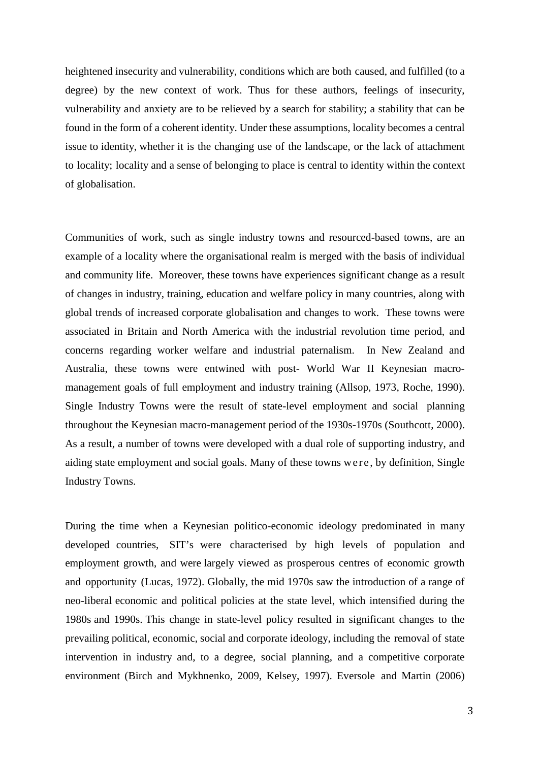heightened insecurity and vulnerability, conditions which are both caused, and fulfilled (to a degree) by the new context of work. Thus for these authors, feelings of insecurity, vulnerability and anxiety are to be relieved by a search for stability; a stability that can be found in the form of a coherent identity. Under these assumptions, locality becomes a central issue to identity, whether it is the changing use of the landscape, or the lack of attachment to locality; locality and a sense of belonging to place is central to identity within the context of globalisation.

Communities of work, such as single industry towns and resourced-based towns, are an example of a locality where the organisational realm is merged with the basis of individual and community life. Moreover, these towns have experiences significant change as a result of changes in industry, training, education and welfare policy in many countries, along with global trends of increased corporate globalisation and changes to work. These towns were associated in Britain and North America with the industrial revolution time period, and concerns regarding worker welfare and industrial paternalism. In New Zealand and Australia, these towns were entwined with post- World War II Keynesian macromanagement goals of full employment and industry training (Allsop, 1973, Roche, 1990). Single Industry Towns were the result of state-level employment and social planning throughout the Keynesian macro-management period of the 1930s-1970s (Southcott, 2000). As a result, a number of towns were developed with a dual role of supporting industry, and aiding state employment and social goals. Many of these towns were , by definition, Single Industry Towns.

During the time when a Keynesian politico-economic ideology predominated in many developed countries, SIT's were characterised by high levels of population and employment growth, and were largely viewed as prosperous centres of economic growth and opportunity (Lucas, 1972). Globally, the mid 1970s saw the introduction of a range of neo-liberal economic and political policies at the state level, which intensified during the 1980s and 1990s. This change in state-level policy resulted in significant changes to the prevailing political, economic, social and corporate ideology, including the removal of state intervention in industry and, to a degree, social planning, and a competitive corporate environment (Birch and Mykhnenko, 2009, Kelsey, 1997). Eversole and Martin (2006)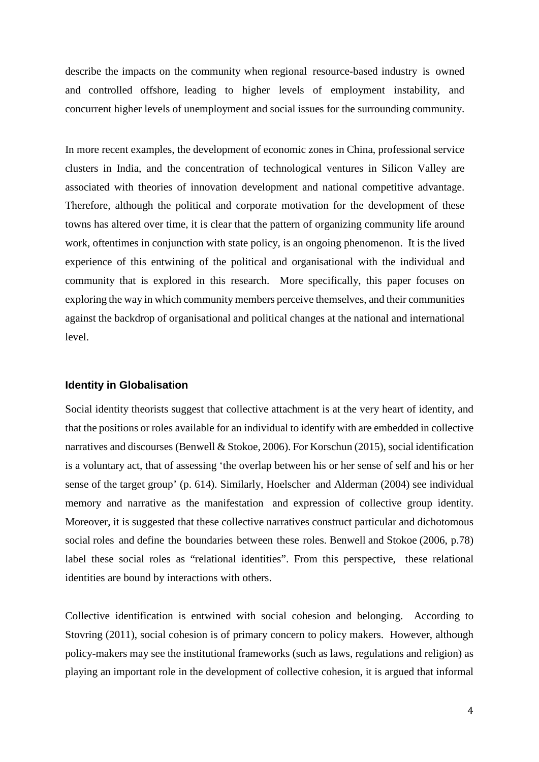describe the impacts on the community when regional resource-based industry is owned and controlled offshore, leading to higher levels of employment instability, and concurrent higher levels of unemployment and social issues for the surrounding community.

In more recent examples, the development of economic zones in China, professional service clusters in India, and the concentration of technological ventures in Silicon Valley are associated with theories of innovation development and national competitive advantage. Therefore, although the political and corporate motivation for the development of these towns has altered over time, it is clear that the pattern of organizing community life around work, oftentimes in conjunction with state policy, is an ongoing phenomenon. It is the lived experience of this entwining of the political and organisational with the individual and community that is explored in this research. More specifically, this paper focuses on exploring the way in which community members perceive themselves, and their communities against the backdrop of organisational and political changes at the national and international level.

#### **Identity in Globalisation**

Social identity theorists suggest that collective attachment is at the very heart of identity, and that the positions or roles available for an individual to identify with are embedded in collective narratives and discourses (Benwell & Stokoe, 2006). For Korschun (2015), social identification is a voluntary act, that of assessing 'the overlap between his or her sense of self and his or her sense of the target group' (p. 614). Similarly, Hoelscher and Alderman (2004) see individual memory and narrative as the manifestation and expression of collective group identity. Moreover, it is suggested that these collective narratives construct particular and dichotomous social roles and define the boundaries between these roles. Benwell and Stokoe (2006, p.78) label these social roles as "relational identities". From this perspective, these relational identities are bound by interactions with others.

Collective identification is entwined with social cohesion and belonging. According to Stovring (2011), social cohesion is of primary concern to policy makers. However, although policy-makers may see the institutional frameworks (such as laws, regulations and religion) as playing an important role in the development of collective cohesion, it is argued that informal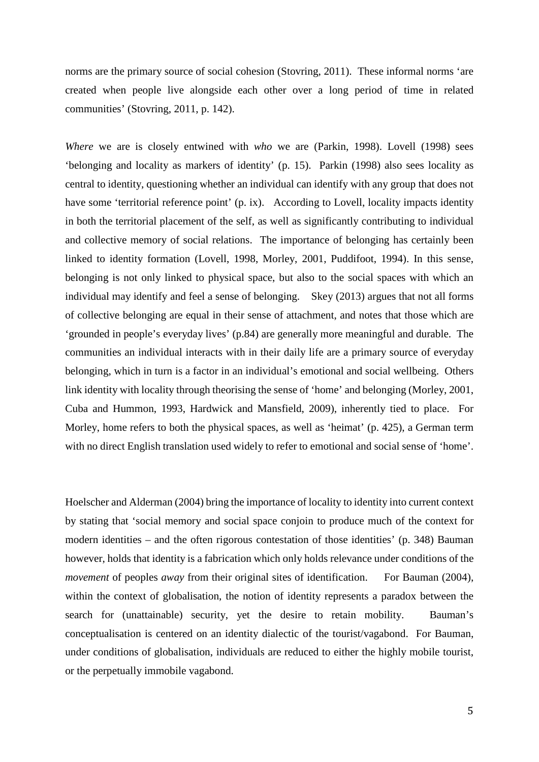norms are the primary source of social cohesion (Stovring, 2011). These informal norms 'are created when people live alongside each other over a long period of time in related communities' (Stovring, 2011, p. 142).

*Where* we are is closely entwined with *who* we are (Parkin, 1998). Lovell (1998) sees 'belonging and locality as markers of identity' (p. 15). Parkin (1998) also sees locality as central to identity, questioning whether an individual can identify with any group that does not have some 'territorial reference point' (p. ix). According to Lovell, locality impacts identity in both the territorial placement of the self, as well as significantly contributing to individual and collective memory of social relations. The importance of belonging has certainly been linked to identity formation (Lovell, 1998, Morley, 2001, Puddifoot, 1994). In this sense, belonging is not only linked to physical space, but also to the social spaces with which an individual may identify and feel a sense of belonging. Skey (2013) argues that not all forms of collective belonging are equal in their sense of attachment, and notes that those which are 'grounded in people's everyday lives' (p.84) are generally more meaningful and durable. The communities an individual interacts with in their daily life are a primary source of everyday belonging, which in turn is a factor in an individual's emotional and social wellbeing. Others link identity with locality through theorising the sense of 'home' and belonging (Morley, 2001, Cuba and Hummon, 1993, Hardwick and Mansfield, 2009), inherently tied to place. For Morley, home refers to both the physical spaces, as well as 'heimat' (p. 425), a German term with no direct English translation used widely to refer to emotional and social sense of 'home'.

Hoelscher and Alderman (2004) bring the importance of locality to identity into current context by stating that 'social memory and social space conjoin to produce much of the context for modern identities – and the often rigorous contestation of those identities' (p. 348) Bauman however, holds that identity is a fabrication which only holds relevance under conditions of the *movement* of peoples *away* from their original sites of identification. For Bauman (2004), within the context of globalisation, the notion of identity represents a paradox between the search for (unattainable) security, yet the desire to retain mobility. Bauman's conceptualisation is centered on an identity dialectic of the tourist/vagabond. For Bauman, under conditions of globalisation, individuals are reduced to either the highly mobile tourist, or the perpetually immobile vagabond.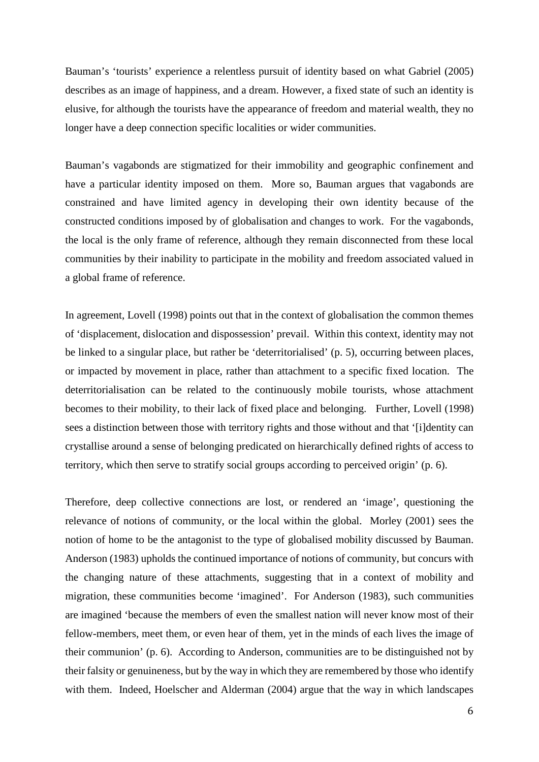Bauman's 'tourists' experience a relentless pursuit of identity based on what Gabriel (2005) describes as an image of happiness, and a dream. However, a fixed state of such an identity is elusive, for although the tourists have the appearance of freedom and material wealth, they no longer have a deep connection specific localities or wider communities.

Bauman's vagabonds are stigmatized for their immobility and geographic confinement and have a particular identity imposed on them. More so, Bauman argues that vagabonds are constrained and have limited agency in developing their own identity because of the constructed conditions imposed by of globalisation and changes to work. For the vagabonds, the local is the only frame of reference, although they remain disconnected from these local communities by their inability to participate in the mobility and freedom associated valued in a global frame of reference.

In agreement, Lovell (1998) points out that in the context of globalisation the common themes of 'displacement, dislocation and dispossession' prevail. Within this context, identity may not be linked to a singular place, but rather be 'deterritorialised' (p. 5), occurring between places, or impacted by movement in place, rather than attachment to a specific fixed location. The deterritorialisation can be related to the continuously mobile tourists, whose attachment becomes to their mobility, to their lack of fixed place and belonging. Further, Lovell (1998) sees a distinction between those with territory rights and those without and that '[i]dentity can crystallise around a sense of belonging predicated on hierarchically defined rights of access to territory, which then serve to stratify social groups according to perceived origin' (p. 6).

Therefore, deep collective connections are lost, or rendered an 'image', questioning the relevance of notions of community, or the local within the global. Morley (2001) sees the notion of home to be the antagonist to the type of globalised mobility discussed by Bauman. Anderson (1983) upholds the continued importance of notions of community, but concurs with the changing nature of these attachments, suggesting that in a context of mobility and migration, these communities become 'imagined'. For Anderson (1983), such communities are imagined 'because the members of even the smallest nation will never know most of their fellow-members, meet them, or even hear of them, yet in the minds of each lives the image of their communion' (p. 6). According to Anderson, communities are to be distinguished not by their falsity or genuineness, but by the way in which they are remembered by those who identify with them. Indeed, Hoelscher and Alderman (2004) argue that the way in which landscapes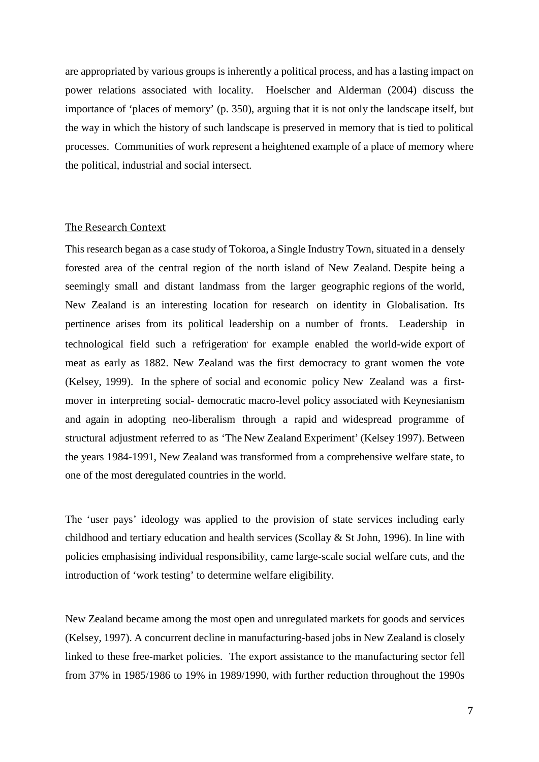are appropriated by various groups is inherently a political process, and has a lasting impact on power relations associated with locality. Hoelscher and Alderman (2004) discuss the importance of 'places of memory' (p. 350), arguing that it is not only the landscape itself, but the way in which the history of such landscape is preserved in memory that is tied to political processes. Communities of work represent a heightened example of a place of memory where the political, industrial and social intersect.

#### The Research Context

This research began as a case study of Tokoroa, a Single Industry Town, situated in a densely forested area of the central region of the north island of New Zealand. Despite being a seemingly small and distant landmass from the larger geographic regions of the world, New Zealand is an interesting location for research on identity in Globalisation. Its pertinence arises from its political leadership on a number of fronts. Leadership in technological field such a refrigeration for example enabled the world-wide export of meat as early as 1882. New Zealand was the first democracy to grant women the vote (Kelsey, 1999). In the sphere of social and economic policy New Zealand was a firstmover in interpreting social- democratic macro-level policy associated with Keynesianism and again in adopting neo-liberalism through a rapid and widespread programme of structural adjustment referred to as 'The New Zealand Experiment' (Kelsey 1997). Between the years 1984-1991, New Zealand was transformed from a comprehensive welfare state, to one of the most deregulated countries in the world.

The 'user pays' ideology was applied to the provision of state services including early childhood and tertiary education and health services (Scollay & St John, 1996). In line with policies emphasising individual responsibility, came large-scale social welfare cuts, and the introduction of 'work testing' to determine welfare eligibility.

New Zealand became among the most open and unregulated markets for goods and services (Kelsey, 1997). A concurrent decline in manufacturing-based jobs in New Zealand is closely linked to these free-market policies. The export assistance to the manufacturing sector fell from 37% in 1985/1986 to 19% in 1989/1990, with further reduction throughout the 1990s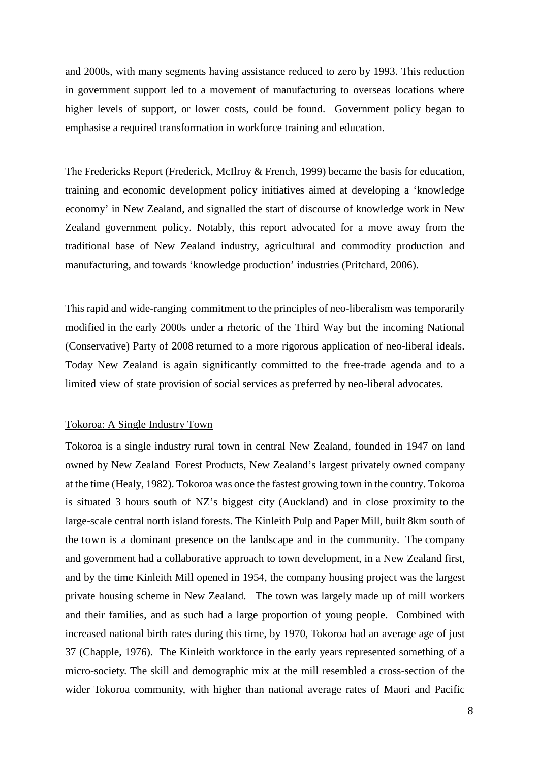and 2000s, with many segments having assistance reduced to zero by 1993. This reduction in government support led to a movement of manufacturing to overseas locations where higher levels of support, or lower costs, could be found. Government policy began to emphasise a required transformation in workforce training and education.

The Fredericks Report (Frederick, McIlroy & French, 1999) became the basis for education, training and economic development policy initiatives aimed at developing a 'knowledge economy' in New Zealand, and signalled the start of discourse of knowledge work in New Zealand government policy. Notably, this report advocated for a move away from the traditional base of New Zealand industry, agricultural and commodity production and manufacturing, and towards 'knowledge production' industries (Pritchard, 2006).

This rapid and wide-ranging commitment to the principles of neo-liberalism was temporarily modified in the early 2000s under a rhetoric of the Third Way but the incoming National (Conservative) Party of 2008 returned to a more rigorous application of neo-liberal ideals. Today New Zealand is again significantly committed to the free-trade agenda and to a limited view of state provision of social services as preferred by neo-liberal advocates.

#### Tokoroa: A Single Industry Town

Tokoroa is a single industry rural town in central New Zealand, founded in 1947 on land owned by New Zealand Forest Products, New Zealand's largest privately owned company at the time (Healy, 1982). Tokoroa was once the fastest growing town in the country. Tokoroa is situated 3 hours south of NZ's biggest city (Auckland) and in close proximity to the large-scale central north island forests. The Kinleith Pulp and Paper Mill, built 8km south of the town is a dominant presence on the landscape and in the community. The company and government had a collaborative approach to town development, in a New Zealand first, and by the time Kinleith Mill opened in 1954, the company housing project was the largest private housing scheme in New Zealand. The town was largely made up of mill workers and their families, and as such had a large proportion of young people. Combined with increased national birth rates during this time, by 1970, Tokoroa had an average age of just 37 (Chapple, 1976). The Kinleith workforce in the early years represented something of a micro-society. The skill and demographic mix at the mill resembled a cross-section of the wider Tokoroa community, with higher than national average rates of Maori and Pacific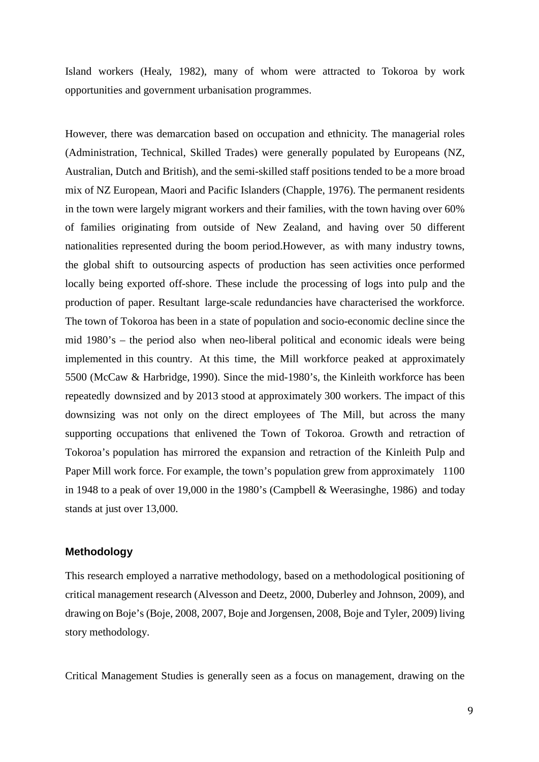Island workers (Healy, 1982), many of whom were attracted to Tokoroa by work opportunities and government urbanisation programmes.

However, there was demarcation based on occupation and ethnicity. The managerial roles (Administration, Technical, Skilled Trades) were generally populated by Europeans (NZ, Australian, Dutch and British), and the semi-skilled staff positions tended to be a more broad mix of NZ European, Maori and Pacific Islanders (Chapple, 1976). The permanent residents in the town were largely migrant workers and their families, with the town having over 60% of families originating from outside of New Zealand, and having over 50 different nationalities represented during the boom period.However, as with many industry towns, the global shift to outsourcing aspects of production has seen activities once performed locally being exported off-shore. These include the processing of logs into pulp and the production of paper. Resultant large-scale redundancies have characterised the workforce. The town of Tokoroa has been in a state of population and socio-economic decline since the mid 1980's – the period also when neo-liberal political and economic ideals were being implemented in this country. At this time, the Mill workforce peaked at approximately 5500 (McCaw & Harbridge, 1990). Since the mid-1980's, the Kinleith workforce has been repeatedly downsized and by 2013 stood at approximately 300 workers. The impact of this downsizing was not only on the direct employees of The Mill, but across the many supporting occupations that enlivened the Town of Tokoroa. Growth and retraction of Tokoroa's population has mirrored the expansion and retraction of the Kinleith Pulp and Paper Mill work force. For example, the town's population grew from approximately 1100 in 1948 to a peak of over 19,000 in the 1980's (Campbell & Weerasinghe, 1986) and today stands at just over 13,000.

## **Methodology**

This research employed a narrative methodology, based on a methodological positioning of critical management research (Alvesson and Deetz, 2000, Duberley and Johnson, 2009), and drawing on Boje's (Boje, 2008, 2007, Boje and Jorgensen, 2008, Boje and Tyler, 2009) living story methodology.

Critical Management Studies is generally seen as a focus on management, drawing on the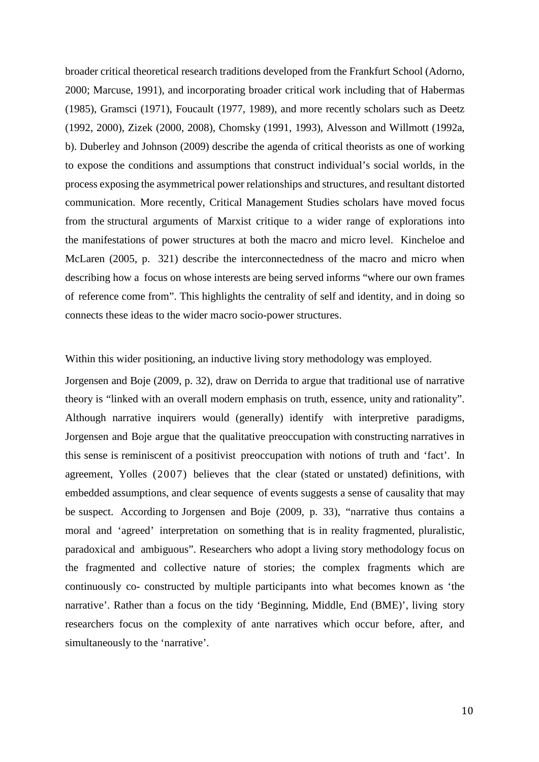broader critical theoretical research traditions developed from the Frankfurt School (Adorno, 2000; Marcuse, 1991), and incorporating broader critical work including that of Habermas (1985), Gramsci (1971), Foucault (1977, 1989), and more recently scholars such as Deetz (1992, 2000), Zizek (2000, 2008), Chomsky (1991, 1993), Alvesson and Willmott (1992a, b). Duberley and Johnson (2009) describe the agenda of critical theorists as one of working to expose the conditions and assumptions that construct individual's social worlds, in the process exposing the asymmetrical power relationships and structures, and resultant distorted communication. More recently, Critical Management Studies scholars have moved focus from the structural arguments of Marxist critique to a wider range of explorations into the manifestations of power structures at both the macro and micro level. Kincheloe and McLaren (2005, p. 321) describe the interconnectedness of the macro and micro when describing how a focus on whose interests are being served informs "where our own frames of reference come from". This highlights the centrality of self and identity, and in doing so connects these ideas to the wider macro socio-power structures.

Within this wider positioning, an inductive living story methodology was employed.

Jorgensen and Boje (2009, p. 32), draw on Derrida to argue that traditional use of narrative theory is "linked with an overall modern emphasis on truth, essence, unity and rationality". Although narrative inquirers would (generally) identify with interpretive paradigms, Jorgensen and Boje argue that the qualitative preoccupation with constructing narratives in this sense is reminiscent of a positivist preoccupation with notions of truth and 'fact'. In agreement, Yolles (2007) believes that the clear (stated or unstated) definitions, with embedded assumptions, and clear sequence of events suggests a sense of causality that may be suspect. According to Jorgensen and Boje (2009, p. 33), "narrative thus contains a moral and 'agreed' interpretation on something that is in reality fragmented, pluralistic, paradoxical and ambiguous". Researchers who adopt a living story methodology focus on the fragmented and collective nature of stories; the complex fragments which are continuously co- constructed by multiple participants into what becomes known as 'the narrative'. Rather than a focus on the tidy 'Beginning, Middle, End (BME)', living story researchers focus on the complexity of ante narratives which occur before, after, and simultaneously to the 'narrative'.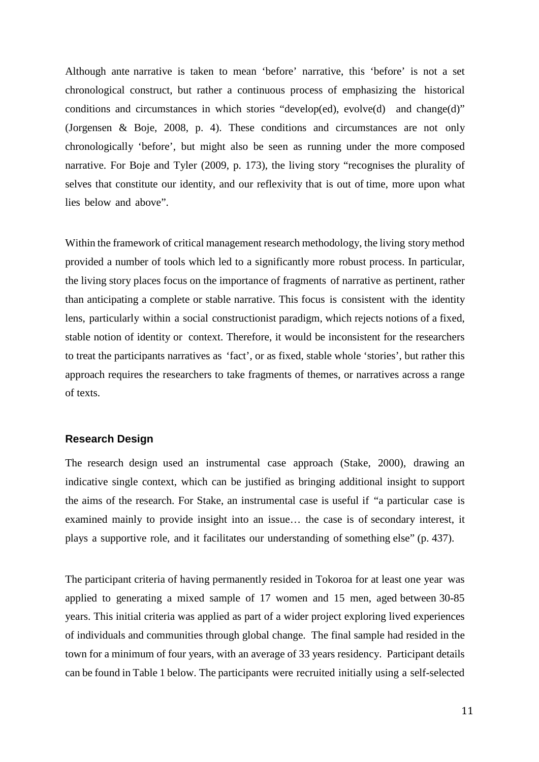Although ante narrative is taken to mean 'before' narrative, this 'before' is not a set chronological construct, but rather a continuous process of emphasizing the historical conditions and circumstances in which stories "develop(ed), evolve(d) and change(d)" (Jorgensen & Boje, 2008, p. 4). These conditions and circumstances are not only chronologically 'before', but might also be seen as running under the more composed narrative. For Boje and Tyler (2009, p. 173), the living story "recognises the plurality of selves that constitute our identity, and our reflexivity that is out of time, more upon what lies below and above".

Within the framework of critical management research methodology, the living story method provided a number of tools which led to a significantly more robust process. In particular, the living story places focus on the importance of fragments of narrative as pertinent, rather than anticipating a complete or stable narrative. This focus is consistent with the identity lens, particularly within a social constructionist paradigm, which rejects notions of a fixed, stable notion of identity or context. Therefore, it would be inconsistent for the researchers to treat the participants narratives as 'fact', or as fixed, stable whole 'stories', but rather this approach requires the researchers to take fragments of themes, or narratives across a range of texts.

### **Research Design**

The research design used an instrumental case approach (Stake, 2000), drawing an indicative single context, which can be justified as bringing additional insight to support the aims of the research. For Stake, an instrumental case is useful if "a particular case is examined mainly to provide insight into an issue… the case is of secondary interest, it plays a supportive role, and it facilitates our understanding of something else" (p. 437).

The participant criteria of having permanently resided in Tokoroa for at least one year was applied to generating a mixed sample of 17 women and 15 men, aged between 30-85 years. This initial criteria was applied as part of a wider project exploring lived experiences of individuals and communities through global change. The final sample had resided in the town for a minimum of four years, with an average of 33 years residency. Participant details can be found in Table 1 below. The participants were recruited initially using a self-selected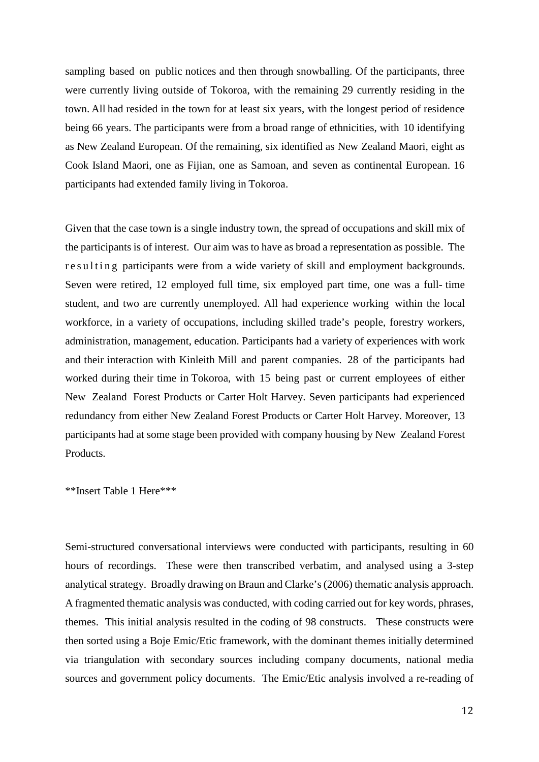sampling based on public notices and then through snowballing. Of the participants, three were currently living outside of Tokoroa, with the remaining 29 currently residing in the town. All had resided in the town for at least six years, with the longest period of residence being 66 years. The participants were from a broad range of ethnicities, with 10 identifying as New Zealand European. Of the remaining, six identified as New Zealand Maori, eight as Cook Island Maori, one as Fijian, one as Samoan, and seven as continental European. 16 participants had extended family living in Tokoroa.

Given that the case town is a single industry town, the spread of occupations and skill mix of the participants is of interest. Our aim was to have as broad a representation as possible. The resulting participants were from a wide variety of skill and employment backgrounds. Seven were retired, 12 employed full time, six employed part time, one was a full- time student, and two are currently unemployed. All had experience working within the local workforce, in a variety of occupations, including skilled trade's people, forestry workers, administration, management, education. Participants had a variety of experiences with work and their interaction with Kinleith Mill and parent companies. 28 of the participants had worked during their time in Tokoroa, with 15 being past or current employees of either New Zealand Forest Products or Carter Holt Harvey. Seven participants had experienced redundancy from either New Zealand Forest Products or Carter Holt Harvey. Moreover, 13 participants had at some stage been provided with company housing by New Zealand Forest Products.

\*\*Insert Table 1 Here\*\*\*

Semi-structured conversational interviews were conducted with participants, resulting in 60 hours of recordings. These were then transcribed verbatim, and analysed using a 3-step analytical strategy. Broadly drawing on Braun and Clarke's (2006) thematic analysis approach. A fragmented thematic analysis was conducted, with coding carried out for key words, phrases, themes. This initial analysis resulted in the coding of 98 constructs. These constructs were then sorted using a Boje Emic/Etic framework, with the dominant themes initially determined via triangulation with secondary sources including company documents, national media sources and government policy documents. The Emic/Etic analysis involved a re-reading of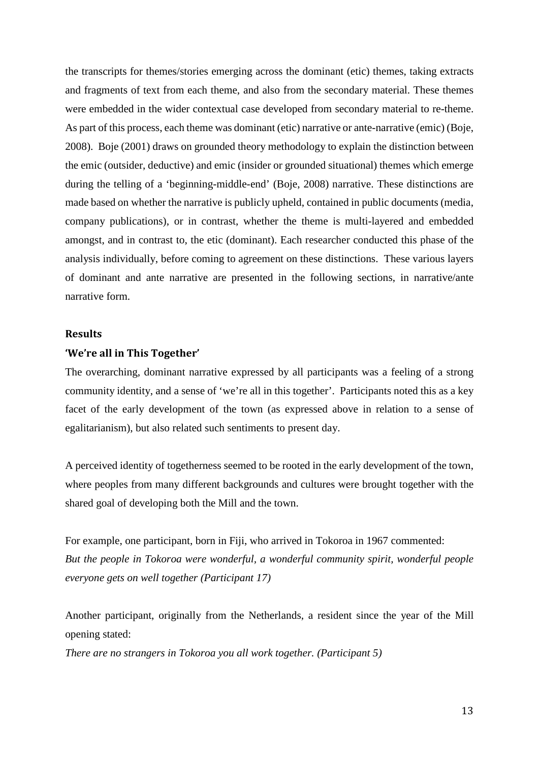the transcripts for themes/stories emerging across the dominant (etic) themes, taking extracts and fragments of text from each theme, and also from the secondary material. These themes were embedded in the wider contextual case developed from secondary material to re-theme. As part of this process, each theme was dominant (etic) narrative or ante-narrative (emic) (Boje, 2008). Boje (2001) draws on grounded theory methodology to explain the distinction between the emic (outsider, deductive) and emic (insider or grounded situational) themes which emerge during the telling of a 'beginning-middle-end' (Boje, 2008) narrative. These distinctions are made based on whether the narrative is publicly upheld, contained in public documents (media, company publications), or in contrast, whether the theme is multi-layered and embedded amongst, and in contrast to, the etic (dominant). Each researcher conducted this phase of the analysis individually, before coming to agreement on these distinctions. These various layers of dominant and ante narrative are presented in the following sections, in narrative/ante narrative form.

### **Results**

#### **'We're all in This Together'**

The overarching, dominant narrative expressed by all participants was a feeling of a strong community identity, and a sense of 'we're all in this together'. Participants noted this as a key facet of the early development of the town (as expressed above in relation to a sense of egalitarianism), but also related such sentiments to present day.

A perceived identity of togetherness seemed to be rooted in the early development of the town, where peoples from many different backgrounds and cultures were brought together with the shared goal of developing both the Mill and the town.

For example, one participant, born in Fiji, who arrived in Tokoroa in 1967 commented: *But the people in Tokoroa were wonderful, a wonderful community spirit, wonderful people everyone gets on well together (Participant 17)*

Another participant, originally from the Netherlands, a resident since the year of the Mill opening stated:

*There are no strangers in Tokoroa you all work together. (Participant 5)*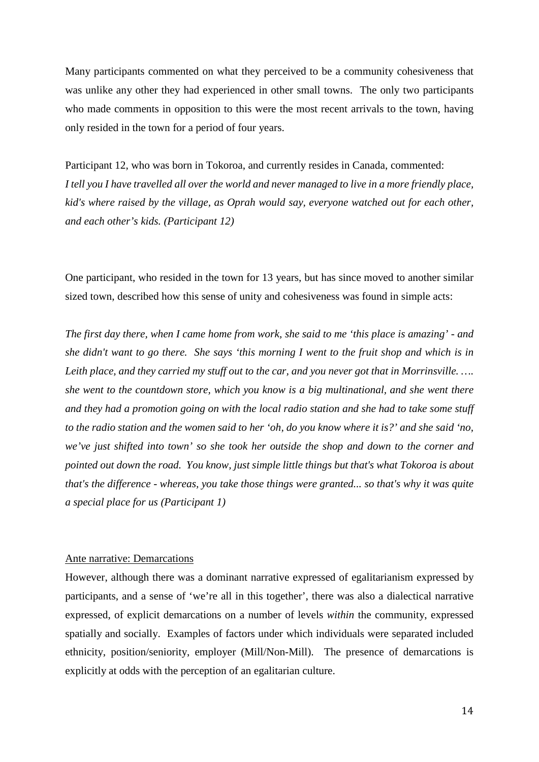Many participants commented on what they perceived to be a community cohesiveness that was unlike any other they had experienced in other small towns. The only two participants who made comments in opposition to this were the most recent arrivals to the town, having only resided in the town for a period of four years.

Participant 12, who was born in Tokoroa, and currently resides in Canada, commented: *I tell you I have travelled all over the world and never managed to live in a more friendly place, kid's where raised by the village, as Oprah would say, everyone watched out for each other, and each other's kids. (Participant 12)*

One participant, who resided in the town for 13 years, but has since moved to another similar sized town, described how this sense of unity and cohesiveness was found in simple acts:

*The first day there, when I came home from work, she said to me 'this place is amazing' - and she didn't want to go there. She says 'this morning I went to the fruit shop and which is in Leith place, and they carried my stuff out to the car, and you never got that in Morrinsville. …. she went to the countdown store, which you know is a big multinational, and she went there and they had a promotion going on with the local radio station and she had to take some stuff to the radio station and the women said to her 'oh, do you know where it is?' and she said 'no, we've just shifted into town' so she took her outside the shop and down to the corner and pointed out down the road. You know, just simple little things but that's what Tokoroa is about that's the difference - whereas, you take those things were granted... so that's why it was quite a special place for us (Participant 1)*

#### Ante narrative: Demarcations

However, although there was a dominant narrative expressed of egalitarianism expressed by participants, and a sense of 'we're all in this together', there was also a dialectical narrative expressed, of explicit demarcations on a number of levels *within* the community, expressed spatially and socially. Examples of factors under which individuals were separated included ethnicity, position/seniority, employer (Mill/Non-Mill). The presence of demarcations is explicitly at odds with the perception of an egalitarian culture.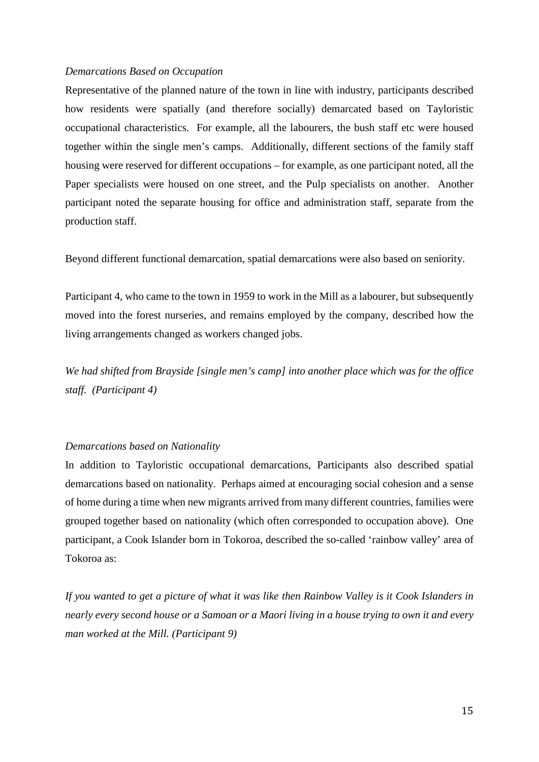#### *Demarcations Based on Occupation*

Representative of the planned nature of the town in line with industry, participants described how residents were spatially (and therefore socially) demarcated based on Tayloristic occupational characteristics. For example, all the labourers, the bush staff etc were housed together within the single men's camps. Additionally, different sections of the family staff housing were reserved for different occupations – for example, as one participant noted, all the Paper specialists were housed on one street, and the Pulp specialists on another. Another participant noted the separate housing for office and administration staff, separate from the production staff.

Beyond different functional demarcation, spatial demarcations were also based on seniority.

Participant 4, who came to the town in 1959 to work in the Mill as a labourer, but subsequently moved into the forest nurseries, and remains employed by the company, described how the living arrangements changed as workers changed jobs.

*We had shifted from Brayside [single men's camp] into another place which was for the office staff. (Participant 4)* 

## *Demarcations based on Nationality*

In addition to Tayloristic occupational demarcations, Participants also described spatial demarcations based on nationality. Perhaps aimed at encouraging social cohesion and a sense of home during a time when new migrants arrived from many different countries, families were grouped together based on nationality (which often corresponded to occupation above). One participant, a Cook Islander born in Tokoroa, described the so-called 'rainbow valley' area of Tokoroa as:

*If you wanted to get a picture of what it was like then Rainbow Valley is it Cook Islanders in nearly every second house or a Samoan or a Maori living in a house trying to own it and every man worked at the Mill. (Participant 9)*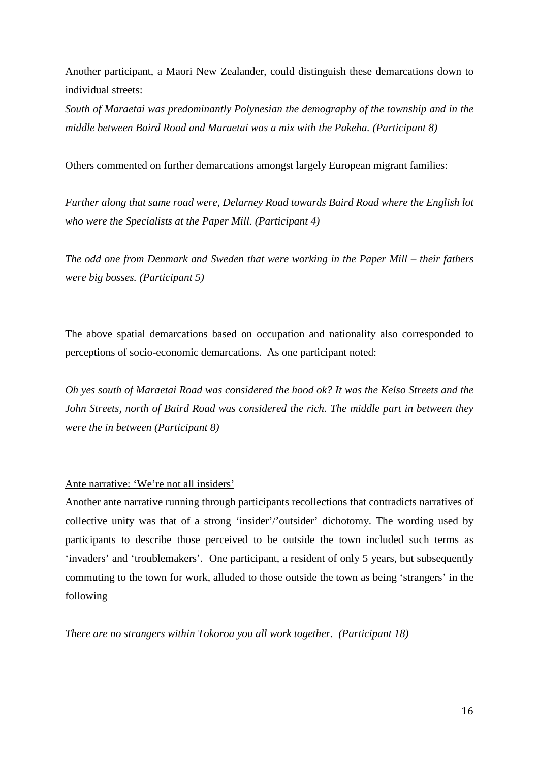Another participant, a Maori New Zealander, could distinguish these demarcations down to individual streets:

*South of Maraetai was predominantly Polynesian the demography of the township and in the middle between Baird Road and Maraetai was a mix with the Pakeha. (Participant 8)*

Others commented on further demarcations amongst largely European migrant families:

*Further along that same road were, Delarney Road towards Baird Road where the English lot who were the Specialists at the Paper Mill. (Participant 4)*

*The odd one from Denmark and Sweden that were working in the Paper Mill – their fathers were big bosses. (Participant 5)*

The above spatial demarcations based on occupation and nationality also corresponded to perceptions of socio-economic demarcations. As one participant noted:

*Oh yes south of Maraetai Road was considered the hood ok? It was the Kelso Streets and the John Streets, north of Baird Road was considered the rich. The middle part in between they were the in between (Participant 8)*

#### Ante narrative: 'We're not all insiders'

Another ante narrative running through participants recollections that contradicts narratives of collective unity was that of a strong 'insider'/'outsider' dichotomy. The wording used by participants to describe those perceived to be outside the town included such terms as 'invaders' and 'troublemakers'. One participant, a resident of only 5 years, but subsequently commuting to the town for work, alluded to those outside the town as being 'strangers' in the following

*There are no strangers within Tokoroa you all work together. (Participant 18)*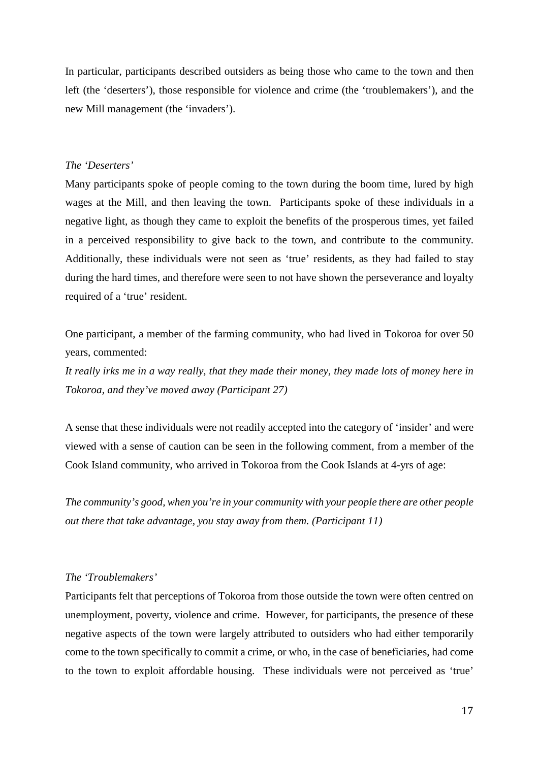In particular, participants described outsiders as being those who came to the town and then left (the 'deserters'), those responsible for violence and crime (the 'troublemakers'), and the new Mill management (the 'invaders').

#### *The 'Deserters'*

Many participants spoke of people coming to the town during the boom time, lured by high wages at the Mill, and then leaving the town. Participants spoke of these individuals in a negative light, as though they came to exploit the benefits of the prosperous times, yet failed in a perceived responsibility to give back to the town, and contribute to the community. Additionally, these individuals were not seen as 'true' residents, as they had failed to stay during the hard times, and therefore were seen to not have shown the perseverance and loyalty required of a 'true' resident.

One participant, a member of the farming community, who had lived in Tokoroa for over 50 years, commented:

*It really irks me in a way really, that they made their money, they made lots of money here in Tokoroa, and they've moved away (Participant 27)*

A sense that these individuals were not readily accepted into the category of 'insider' and were viewed with a sense of caution can be seen in the following comment, from a member of the Cook Island community, who arrived in Tokoroa from the Cook Islands at 4-yrs of age:

*The community's good, when you're in your community with your people there are other people out there that take advantage, you stay away from them. (Participant 11)*

#### *The 'Troublemakers'*

Participants felt that perceptions of Tokoroa from those outside the town were often centred on unemployment, poverty, violence and crime. However, for participants, the presence of these negative aspects of the town were largely attributed to outsiders who had either temporarily come to the town specifically to commit a crime, or who, in the case of beneficiaries, had come to the town to exploit affordable housing. These individuals were not perceived as 'true'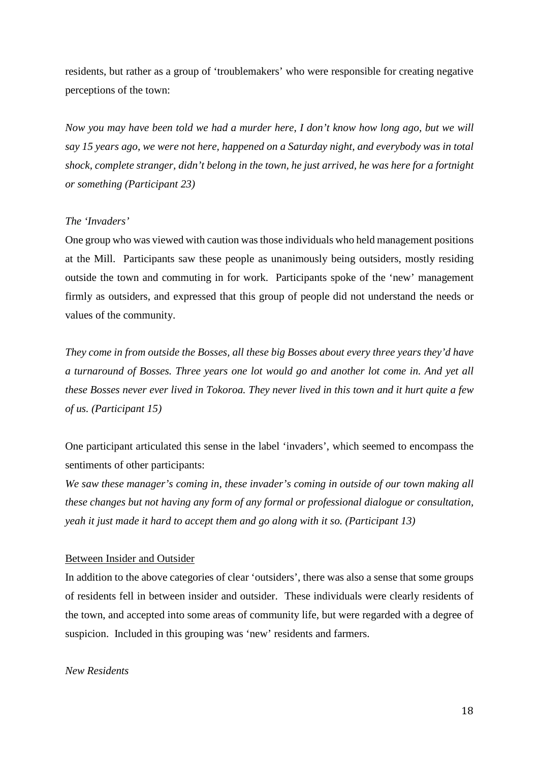residents, but rather as a group of 'troublemakers' who were responsible for creating negative perceptions of the town:

*Now you may have been told we had a murder here, I don't know how long ago, but we will say 15 years ago, we were not here, happened on a Saturday night, and everybody was in total shock, complete stranger, didn't belong in the town, he just arrived, he was here for a fortnight or something (Participant 23)*

#### *The 'Invaders'*

One group who was viewed with caution was those individuals who held management positions at the Mill. Participants saw these people as unanimously being outsiders, mostly residing outside the town and commuting in for work. Participants spoke of the 'new' management firmly as outsiders, and expressed that this group of people did not understand the needs or values of the community.

*They come in from outside the Bosses, all these big Bosses about every three years they'd have a turnaround of Bosses. Three years one lot would go and another lot come in. And yet all these Bosses never ever lived in Tokoroa. They never lived in this town and it hurt quite a few of us. (Participant 15)*

One participant articulated this sense in the label 'invaders', which seemed to encompass the sentiments of other participants:

*We saw these manager's coming in, these invader's coming in outside of our town making all these changes but not having any form of any formal or professional dialogue or consultation, yeah it just made it hard to accept them and go along with it so. (Participant 13)*

#### Between Insider and Outsider

In addition to the above categories of clear 'outsiders', there was also a sense that some groups of residents fell in between insider and outsider. These individuals were clearly residents of the town, and accepted into some areas of community life, but were regarded with a degree of suspicion. Included in this grouping was 'new' residents and farmers.

## *New Residents*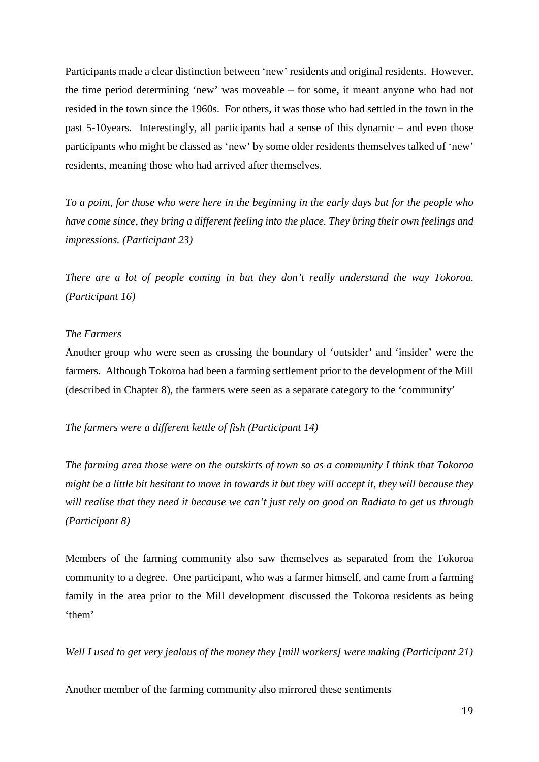Participants made a clear distinction between 'new' residents and original residents. However, the time period determining 'new' was moveable – for some, it meant anyone who had not resided in the town since the 1960s. For others, it was those who had settled in the town in the past 5-10years. Interestingly, all participants had a sense of this dynamic – and even those participants who might be classed as 'new' by some older residents themselves talked of 'new' residents, meaning those who had arrived after themselves.

*To a point, for those who were here in the beginning in the early days but for the people who have come since, they bring a different feeling into the place. They bring their own feelings and impressions. (Participant 23)*

*There are a lot of people coming in but they don't really understand the way Tokoroa. (Participant 16)*

## *The Farmers*

Another group who were seen as crossing the boundary of 'outsider' and 'insider' were the farmers. Although Tokoroa had been a farming settlement prior to the development of the Mill (described in Chapter 8), the farmers were seen as a separate category to the 'community'

*The farmers were a different kettle of fish (Participant 14)*

*The farming area those were on the outskirts of town so as a community I think that Tokoroa might be a little bit hesitant to move in towards it but they will accept it, they will because they will realise that they need it because we can't just rely on good on Radiata to get us through (Participant 8)*

Members of the farming community also saw themselves as separated from the Tokoroa community to a degree. One participant, who was a farmer himself, and came from a farming family in the area prior to the Mill development discussed the Tokoroa residents as being 'them'

*Well I used to get very jealous of the money they [mill workers] were making (Participant 21)*

Another member of the farming community also mirrored these sentiments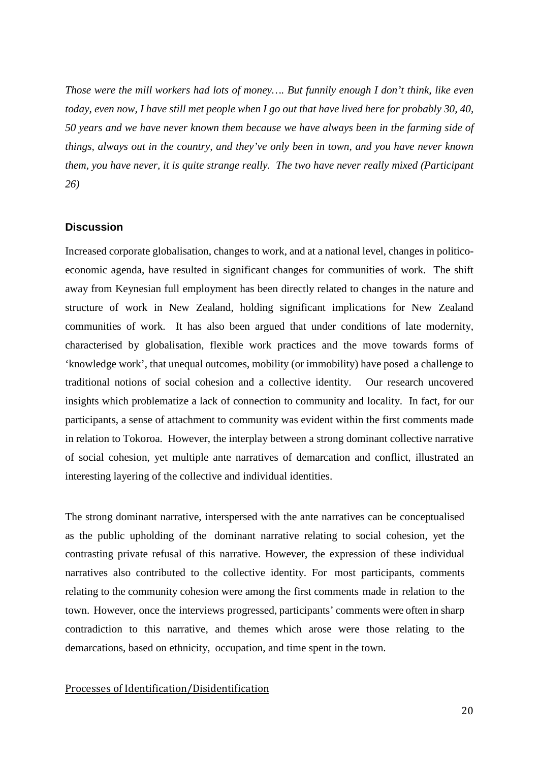*Those were the mill workers had lots of money…. But funnily enough I don't think, like even today, even now, I have still met people when I go out that have lived here for probably 30, 40, 50 years and we have never known them because we have always been in the farming side of things, always out in the country, and they've only been in town, and you have never known them, you have never, it is quite strange really. The two have never really mixed (Participant 26)*

### **Discussion**

Increased corporate globalisation, changes to work, and at a national level, changes in politicoeconomic agenda, have resulted in significant changes for communities of work. The shift away from Keynesian full employment has been directly related to changes in the nature and structure of work in New Zealand, holding significant implications for New Zealand communities of work. It has also been argued that under conditions of late modernity, characterised by globalisation, flexible work practices and the move towards forms of 'knowledge work', that unequal outcomes, mobility (or immobility) have posed a challenge to traditional notions of social cohesion and a collective identity. Our research uncovered insights which problematize a lack of connection to community and locality. In fact, for our participants, a sense of attachment to community was evident within the first comments made in relation to Tokoroa. However, the interplay between a strong dominant collective narrative of social cohesion, yet multiple ante narratives of demarcation and conflict, illustrated an interesting layering of the collective and individual identities.

The strong dominant narrative, interspersed with the ante narratives can be conceptualised as the public upholding of the dominant narrative relating to social cohesion, yet the contrasting private refusal of this narrative. However, the expression of these individual narratives also contributed to the collective identity. For most participants, comments relating to the community cohesion were among the first comments made in relation to the town. However, once the interviews progressed, participants' comments were often in sharp contradiction to this narrative, and themes which arose were those relating to the demarcations, based on ethnicity, occupation, and time spent in the town.

### Processes of Identification/Disidentification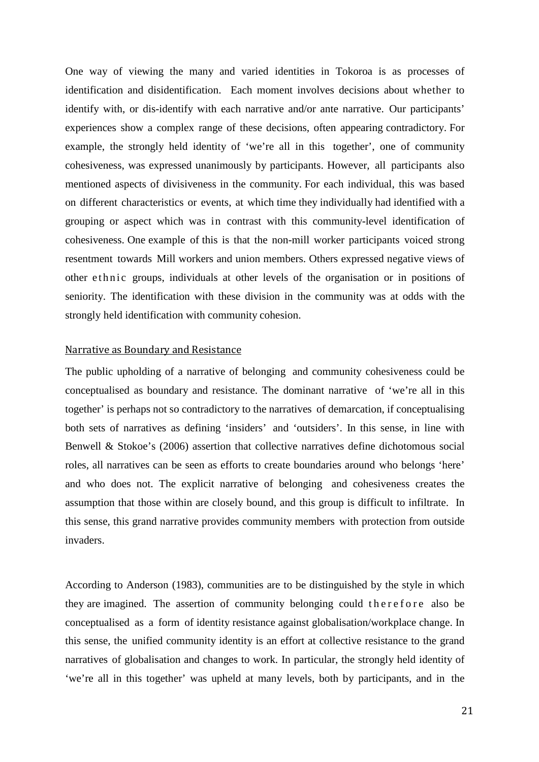One way of viewing the many and varied identities in Tokoroa is as processes of identification and disidentification. Each moment involves decisions about whether to identify with, or dis-identify with each narrative and/or ante narrative. Our participants' experiences show a complex range of these decisions, often appearing contradictory. For example, the strongly held identity of 'we're all in this together', one of community cohesiveness, was expressed unanimously by participants. However, all participants also mentioned aspects of divisiveness in the community. For each individual, this was based on different characteristics or events, at which time they individually had identified with a grouping or aspect which was in contrast with this community-level identification of cohesiveness. One example of this is that the non-mill worker participants voiced strong resentment towards Mill workers and union members. Others expressed negative views of other ethnic groups, individuals at other levels of the organisation or in positions of seniority. The identification with these division in the community was at odds with the strongly held identification with community cohesion.

#### Narrative as Boundary and Resistance

The public upholding of a narrative of belonging and community cohesiveness could be conceptualised as boundary and resistance. The dominant narrative of 'we're all in this together' is perhaps not so contradictory to the narratives of demarcation, if conceptualising both sets of narratives as defining 'insiders' and 'outsiders'. In this sense, in line with Benwell & Stokoe's (2006) assertion that collective narratives define dichotomous social roles, all narratives can be seen as efforts to create boundaries around who belongs 'here' and who does not. The explicit narrative of belonging and cohesiveness creates the assumption that those within are closely bound, and this group is difficult to infiltrate. In this sense, this grand narrative provides community members with protection from outside invaders.

According to Anderson (1983), communities are to be distinguished by the style in which they are imagined. The assertion of community belonging could therefore also be conceptualised as a form of identity resistance against globalisation/workplace change. In this sense, the unified community identity is an effort at collective resistance to the grand narratives of globalisation and changes to work. In particular, the strongly held identity of 'we're all in this together' was upheld at many levels, both by participants, and in the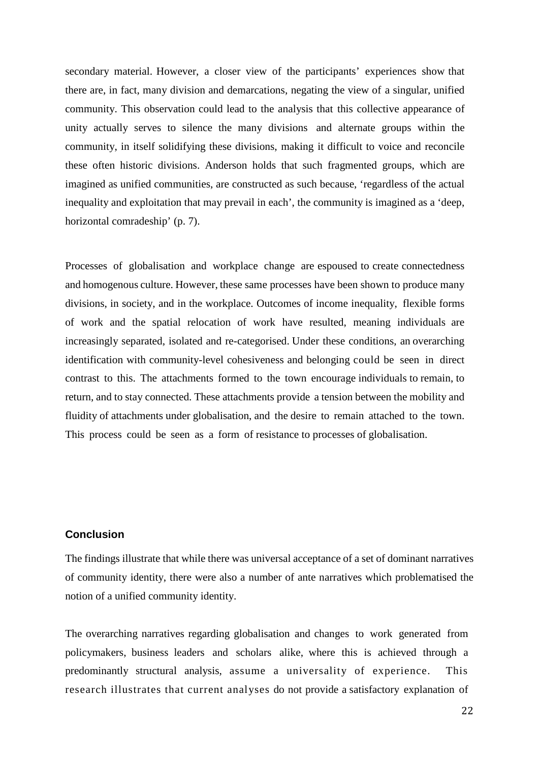secondary material. However, a closer view of the participants' experiences show that there are, in fact, many division and demarcations, negating the view of a singular, unified community. This observation could lead to the analysis that this collective appearance of unity actually serves to silence the many divisions and alternate groups within the community, in itself solidifying these divisions, making it difficult to voice and reconcile these often historic divisions. Anderson holds that such fragmented groups, which are imagined as unified communities, are constructed as such because, 'regardless of the actual inequality and exploitation that may prevail in each', the community is imagined as a 'deep, horizontal comradeship' (p. 7).

Processes of globalisation and workplace change are espoused to create connectedness and homogenous culture. However, these same processes have been shown to produce many divisions, in society, and in the workplace. Outcomes of income inequality, flexible forms of work and the spatial relocation of work have resulted, meaning individuals are increasingly separated, isolated and re-categorised. Under these conditions, an overarching identification with community-level cohesiveness and belonging could be seen in direct contrast to this. The attachments formed to the town encourage individuals to remain, to return, and to stay connected. These attachments provide a tension between the mobility and fluidity of attachments under globalisation, and the desire to remain attached to the town. This process could be seen as a form of resistance to processes of globalisation.

## **Conclusion**

The findings illustrate that while there was universal acceptance of a set of dominant narratives of community identity, there were also a number of ante narratives which problematised the notion of a unified community identity.

The overarching narratives regarding globalisation and changes to work generated from policymakers, business leaders and scholars alike, where this is achieved through a predominantly structural analysis, assume a universality of experience. This research illustrates that current analyses do not provide a satisfactory explanation of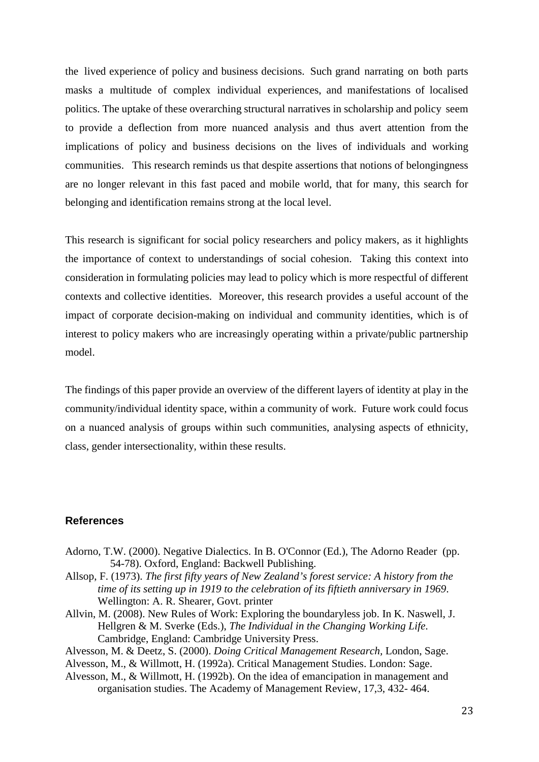the lived experience of policy and business decisions. Such grand narrating on both parts masks a multitude of complex individual experiences, and manifestations of localised politics. The uptake of these overarching structural narratives in scholarship and policy seem to provide a deflection from more nuanced analysis and thus avert attention from the implications of policy and business decisions on the lives of individuals and working communities. This research reminds us that despite assertions that notions of belongingness are no longer relevant in this fast paced and mobile world, that for many, this search for belonging and identification remains strong at the local level.

This research is significant for social policy researchers and policy makers, as it highlights the importance of context to understandings of social cohesion. Taking this context into consideration in formulating policies may lead to policy which is more respectful of different contexts and collective identities. Moreover, this research provides a useful account of the impact of corporate decision-making on individual and community identities, which is of interest to policy makers who are increasingly operating within a private/public partnership model.

The findings of this paper provide an overview of the different layers of identity at play in the community/individual identity space, within a community of work. Future work could focus on a nuanced analysis of groups within such communities, analysing aspects of ethnicity, class, gender intersectionality, within these results.

### **References**

- Adorno, T.W. (2000). Negative Dialectics. In B. O'Connor (Ed.), The Adorno Reader (pp. 54-78). Oxford, England: Backwell Publishing.
- Allsop, F. (1973). *The first fifty years of New Zealand's forest service: A history from the time of its setting up in 1919 to the celebration of its fiftieth anniversary in 1969*. Wellington: A. R. Shearer, Govt. printer
- Allvin, M. (2008). New Rules of Work: Exploring the boundaryless job. In K. Naswell, J. Hellgren & M. Sverke (Eds.), *The Individual in the Changing Working Life*. Cambridge, England: Cambridge University Press.
- Alvesson, M. & Deetz, S. (2000). *Doing Critical Management Research,* London, Sage.
- Alvesson, M., & Willmott, H. (1992a). Critical Management Studies. London: Sage.
- Alvesson, M., & Willmott, H. (1992b). On the idea of emancipation in management and organisation studies. The Academy of Management Review, 17,3, 432- 464.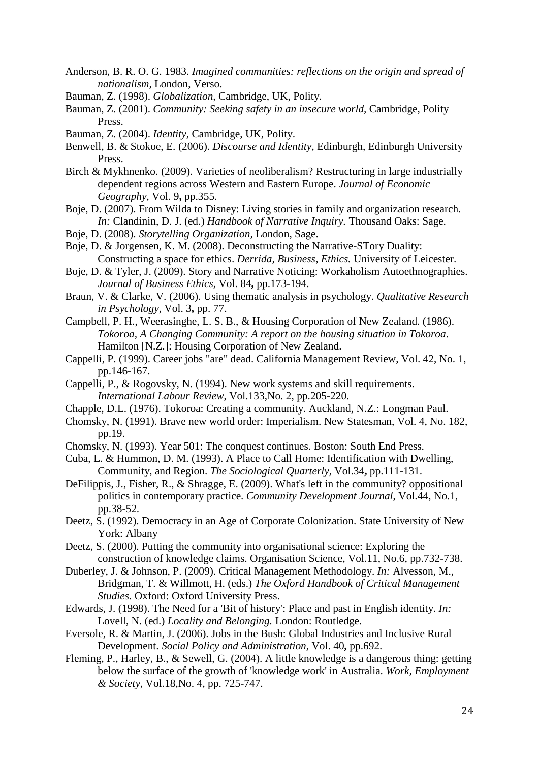- Anderson, B. R. O. G. 1983. *Imagined communities: reflections on the origin and spread of nationalism,* London, Verso.
- Bauman, Z. (1998). *Globalization,* Cambridge, UK, Polity.
- Bauman, Z. (2001). *Community: Seeking safety in an insecure world,* Cambridge, Polity Press.
- Bauman, Z. (2004). *Identity,* Cambridge, UK, Polity.
- Benwell, B. & Stokoe, E. (2006). *Discourse and Identity,* Edinburgh, Edinburgh University Press.
- Birch & Mykhnenko. (2009). Varieties of neoliberalism? Restructuring in large industrially dependent regions across Western and Eastern Europe. *Journal of Economic Geography,* Vol. 9**,** pp.355.
- Boje, D. (2007). From Wilda to Disney: Living stories in family and organization research. *In:* Clandinin, D. J. (ed.) *Handbook of Narrative Inquiry.* Thousand Oaks: Sage.
- Boje, D. (2008). *Storytelling Organization,* London, Sage.
- Boje, D. & Jorgensen, K. M. (2008). Deconstructing the Narrative-STory Duality: Constructing a space for ethics. *Derrida, Business, Ethics.* University of Leicester.
- Boje, D. & Tyler, J. (2009). Story and Narrative Noticing: Workaholism Autoethnographies. *Journal of Business Ethics,* Vol. 84**,** pp.173-194.
- Braun, V. & Clarke, V. (2006). Using thematic analysis in psychology. *Qualitative Research in Psychology,* Vol. 3**,** pp. 77.
- Campbell, P. H., Weerasinghe, L. S. B., & Housing Corporation of New Zealand. (1986). *Tokoroa, A Changing Community: A report on the housing situation in Tokoroa*. Hamilton [N.Z.]: Housing Corporation of New Zealand.
- Cappelli, P. (1999). Career jobs "are" dead. California Management Review, Vol. 42, No. 1, pp.146-167.
- Cappelli, P., & Rogovsky, N. (1994). New work systems and skill requirements. *International Labour Review*, Vol.133,No. 2, pp.205-220.
- Chapple, D.L. (1976). Tokoroa: Creating a community. Auckland, N.Z.: Longman Paul.
- Chomsky, N. (1991). Brave new world order: Imperialism. New Statesman, Vol. 4, No. 182, pp.19.
- Chomsky, N. (1993). Year 501: The conquest continues. Boston: South End Press.
- Cuba, L. & Hummon, D. M. (1993). A Place to Call Home: Identification with Dwelling, Community, and Region. *The Sociological Quarterly,* Vol.34**,** pp.111-131.
- DeFilippis, J., Fisher, R., & Shragge, E. (2009). What's left in the community? oppositional politics in contemporary practice. *Community Development Journal*, Vol.44, No.1, pp.38-52.
- Deetz, S. (1992). Democracy in an Age of Corporate Colonization. State University of New York: Albany
- Deetz, S. (2000). Putting the community into organisational science: Exploring the construction of knowledge claims. Organisation Science, Vol.11, No.6, pp.732-738.
- Duberley, J. & Johnson, P. (2009). Critical Management Methodology. *In:* Alvesson, M., Bridgman, T. & Willmott, H. (eds.) *The Oxford Handbook of Critical Management Studies.* Oxford: Oxford University Press.
- Edwards, J. (1998). The Need for a 'Bit of history': Place and past in English identity. *In:* Lovell, N. (ed.) *Locality and Belonging.* London: Routledge.
- Eversole, R. & Martin, J. (2006). Jobs in the Bush: Global Industries and Inclusive Rural Development. *Social Policy and Administration,* Vol. 40**,** pp.692.
- Fleming, P., Harley, B., & Sewell, G. (2004). A little knowledge is a dangerous thing: getting below the surface of the growth of 'knowledge work' in Australia. *Work, Employment & Society*, Vol.18,No. 4, pp. 725-747.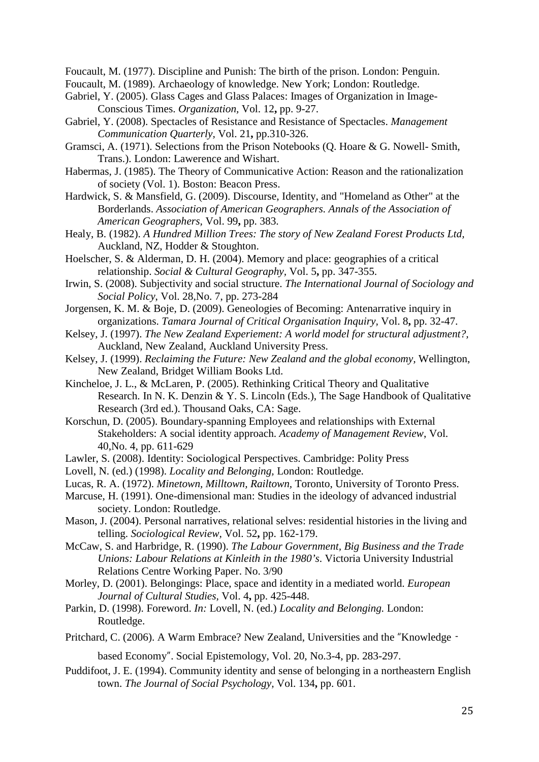Foucault, M. (1977). Discipline and Punish: The birth of the prison. London: Penguin.

Foucault, M. (1989). Archaeology of knowledge. New York; London: Routledge.

- Gabriel, Y. (2005). Glass Cages and Glass Palaces: Images of Organization in Image-Conscious Times. *Organization,* Vol. 12**,** pp. 9-27.
- Gabriel, Y. (2008). Spectacles of Resistance and Resistance of Spectacles. *Management Communication Quarterly,* Vol. 21**,** pp.310-326.
- Gramsci, A. (1971). Selections from the Prison Notebooks (Q. Hoare & G. Nowell- Smith, Trans.). London: Lawerence and Wishart.
- Habermas, J. (1985). The Theory of Communicative Action: Reason and the rationalization of society (Vol. 1). Boston: Beacon Press.
- Hardwick, S. & Mansfield, G. (2009). Discourse, Identity, and "Homeland as Other" at the Borderlands. *Association of American Geographers. Annals of the Association of American Geographers,* Vol. 99**,** pp. 383.
- Healy, B. (1982). *A Hundred Million Trees: The story of New Zealand Forest Products Ltd,*  Auckland, NZ, Hodder & Stoughton.
- Hoelscher, S. & Alderman, D. H. (2004). Memory and place: geographies of a critical relationship. *Social & Cultural Geography,* Vol. 5**,** pp. 347-355.
- Irwin, S. (2008). Subjectivity and social structure. *The International Journal of Sociology and Social Policy*, Vol. 28,No. 7, pp. 273-284
- Jorgensen, K. M. & Boje, D. (2009). Geneologies of Becoming: Antenarrative inquiry in organizations. *Tamara Journal of Critical Organisation Inquiry,* Vol. 8**,** pp. 32-47.
- Kelsey, J. (1997). *The New Zealand Experiement: A world model for structural adjustment?,*  Auckland, New Zealand, Auckland University Press.
- Kelsey, J. (1999). *Reclaiming the Future: New Zealand and the global economy,* Wellington, New Zealand, Bridget William Books Ltd.
- Kincheloe, J. L., & McLaren, P. (2005). Rethinking Critical Theory and Qualitative Research. In N. K. Denzin & Y. S. Lincoln (Eds.), The Sage Handbook of Qualitative Research (3rd ed.). Thousand Oaks, CA: Sage.
- Korschun, D. (2005). Boundary-spanning Employees and relationships with External Stakeholders: A social identity approach. *Academy of Management Review*, Vol. 40,No. 4, pp. 611-629
- Lawler, S. (2008). Identity: Sociological Perspectives. Cambridge: Polity Press
- Lovell, N. (ed.) (1998). *Locality and Belonging,* London: Routledge.
- Lucas, R. A. (1972). *Minetown, Milltown, Railtown,* Toronto, University of Toronto Press.
- Marcuse, H. (1991). One-dimensional man: Studies in the ideology of advanced industrial society. London: Routledge.
- Mason, J. (2004). Personal narratives, relational selves: residential histories in the living and telling. *Sociological Review,* Vol. 52**,** pp. 162-179.
- McCaw, S. and Harbridge, R. (1990). *The Labour Government, Big Business and the Trade Unions: Labour Relations at Kinleith in the 1980's*. Victoria University Industrial Relations Centre Working Paper. No. 3/90
- Morley, D. (2001). Belongings: Place, space and identity in a mediated world. *European Journal of Cultural Studies,* Vol. 4**,** pp. 425-448.
- Parkin, D. (1998). Foreword. *In:* Lovell, N. (ed.) *Locality and Belonging.* London: Routledge.
- Pritchard, C. (2006). A Warm Embrace? New Zealand, Universities and the "Knowledge‐

based Economy". Social Epistemology, Vol. 20, No.3-4, pp. 283-297.

Puddifoot, J. E. (1994). Community identity and sense of belonging in a northeastern English town. *The Journal of Social Psychology,* Vol. 134**,** pp. 601.